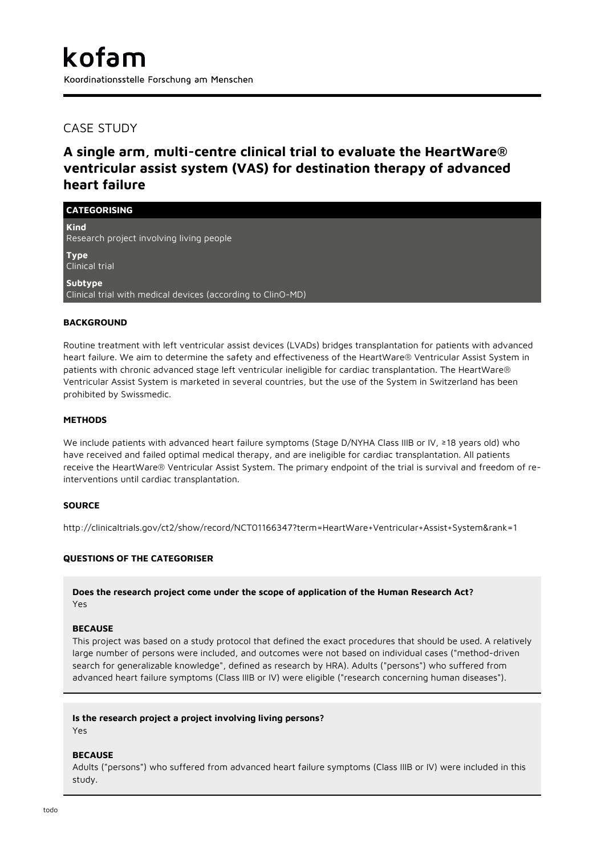# CASE STUDY

# **A single arm, multi-centre clinical trial to evaluate the HeartWare® ventricular assist system (VAS) for destination therapy of advanced heart failure**

**CATEGORISING Kind** Research project involving living people **Type** Clinical trial **Subtype** Clinical trial with medical devices (according to ClinO-MD)

## **BACKGROUND**

Routine treatment with left ventricular assist devices (LVADs) bridges transplantation for patients with advanced heart failure. We aim to determine the safety and effectiveness of the HeartWare® Ventricular Assist System in patients with chronic advanced stage left ventricular ineligible for cardiac transplantation. The HeartWare® Ventricular Assist System is marketed in several countries, but the use of the System in Switzerland has been prohibited by Swissmedic.

### **METHODS**

We include patients with advanced heart failure symptoms (Stage D/NYHA Class IIIB or IV, ≥18 years old) who have received and failed optimal medical therapy, and are ineligible for cardiac transplantation. All patients receive the HeartWare® Ventricular Assist System. The primary endpoint of the trial is survival and freedom of reinterventions until cardiac transplantation.

## **SOURCE**

http://clinicaltrials.gov/ct2/show/record/NCT01166347?term=HeartWare+Ventricular+Assist+System&rank=1

## **QUESTIONS OF THE CATEGORISER**

**Does the research project come under the scope of application of the Human Research Act?** Yes

#### **BECAUSE**

This project was based on a study protocol that defined the exact procedures that should be used. A relatively large number of persons were included, and outcomes were not based on individual cases ("method-driven search for generalizable knowledge", defined as research by HRA). Adults ("persons") who suffered from advanced heart failure symptoms (Class IIIB or IV) were eligible ("research concerning human diseases").

#### **Is the research project a project involving living persons?**

Yes

## **BECAUSE**

Adults ("persons") who suffered from advanced heart failure symptoms (Class IIIB or IV) were included in this study.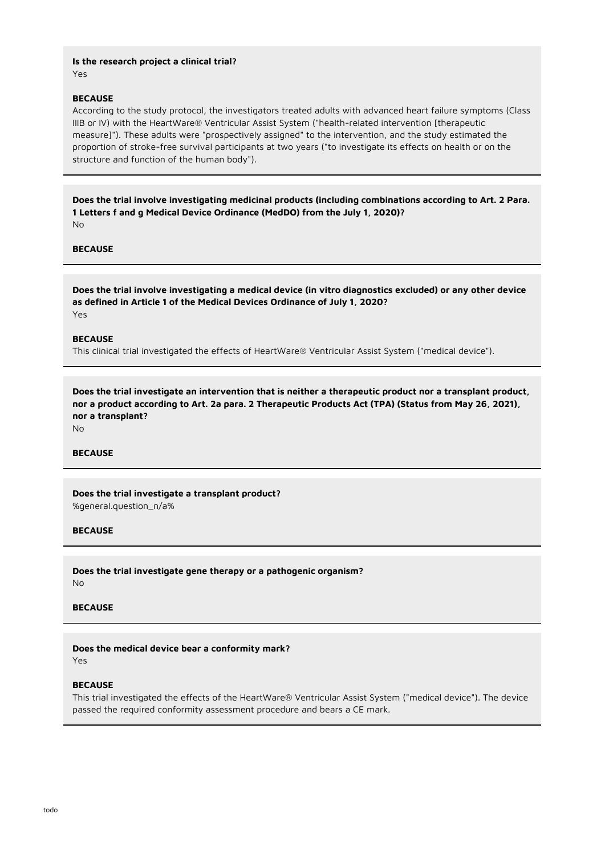**Is the research project a clinical trial?** Yes

#### **BECAUSE**

According to the study protocol, the investigators treated adults with advanced heart failure symptoms (Class IIIB or IV) with the HeartWare® Ventricular Assist System ("health-related intervention [therapeutic measure]"). These adults were "prospectively assigned" to the intervention, and the study estimated the proportion of stroke-free survival participants at two years ("to investigate its effects on health or on the structure and function of the human body").

**Does the trial involve investigating medicinal products (including combinations according to Art. 2 Para. 1 Letters f and g Medical Device Ordinance (MedDO) from the July 1, 2020)?** No

## **BECAUSE**

**Does the trial involve investigating a medical device (in vitro diagnostics excluded) or any other device as defined in Article 1 of the Medical Devices Ordinance of July 1, 2020?** Yes

#### **BECAUSE**

This clinical trial investigated the effects of HeartWare® Ventricular Assist System ("medical device").

**Does the trial investigate an intervention that is neither a therapeutic product nor a transplant product, nor a product according to Art. 2a para. 2 Therapeutic Products Act (TPA) (Status from May 26, 2021), nor a transplant?** No

## **BECAUSE**

**Does the trial investigate a transplant product?** %general.question\_n/a%

#### **BECAUSE**

**Does the trial investigate gene therapy or a pathogenic organism?** No

## **BECAUSE**

#### **Does the medical device bear a conformity mark?**

Yes

#### **BECAUSE**

This trial investigated the effects of the HeartWare® Ventricular Assist System ("medical device"). The device passed the required conformity assessment procedure and bears a CE mark.